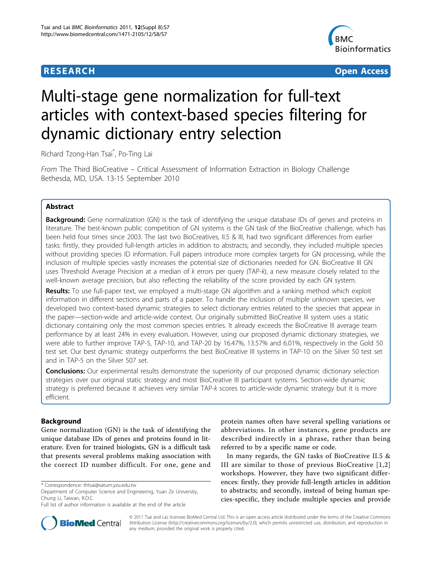

**RESEARCH CONSTRUCTION CONSTRUCTS** 

# Multi-stage gene normalization for full-text articles with context-based species filtering for dynamic dictionary entry selection

Richard Tzong-Han Tsai\* , Po-Ting Lai

From The Third BioCreative – Critical Assessment of Information Extraction in Biology Challenge Bethesda, MD, USA. 13-15 September 2010

#### Abstract

Background: Gene normalization (GN) is the task of identifying the unique database IDs of genes and proteins in literature. The best-known public competition of GN systems is the GN task of the BioCreative challenge, which has been held four times since 2003. The last two BioCreatives, II.5 & III, had two significant differences from earlier tasks: firstly, they provided full-length articles in addition to abstracts; and secondly, they included multiple species without providing species ID information. Full papers introduce more complex targets for GN processing, while the inclusion of multiple species vastly increases the potential size of dictionaries needed for GN. BioCreative III GN uses Threshold Average Precision at a median of k errors per query (TAP-k), a new measure closely related to the well-known average precision, but also reflecting the reliability of the score provided by each GN system.

Results: To use full-paper text, we employed a multi-stage GN algorithm and a ranking method which exploit information in different sections and parts of a paper. To handle the inclusion of multiple unknown species, we developed two context-based dynamic strategies to select dictionary entries related to the species that appear in the paper—section-wide and article-wide context. Our originally submitted BioCreative III system uses a static dictionary containing only the most common species entries. It already exceeds the BioCreative III average team performance by at least 24% in every evaluation. However, using our proposed dynamic dictionary strategies, we were able to further improve TAP-5, TAP-10, and TAP-20 by 16.47%, 13.57% and 6.01%, respectively in the Gold 50 test set. Our best dynamic strategy outperforms the best BioCreative III systems in TAP-10 on the Silver 50 test set and in TAP-5 on the Silver 507 set.

**Conclusions:** Our experimental results demonstrate the superiority of our proposed dynamic dictionary selection strategies over our original static strategy and most BioCreative III participant systems. Section-wide dynamic strategy is preferred because it achieves very similar TAP-k scores to article-wide dynamic strategy but it is more efficient.

#### Background

Gene normalization (GN) is the task of identifying the unique database IDs of genes and proteins found in literature. Even for trained biologists, GN is a difficult task that presents several problems making association with the correct ID number difficult. For one, gene and



In many regards, the GN tasks of BioCreative II.5 & III are similar to those of previous BioCreative [[1,2](#page-9-0)] workshops. However, they have two significant differences: firstly, they provide full-length articles in addition to abstracts; and secondly, instead of being human species-specific, they include multiple species and provide



© 2011 Tsai and Lai; licensee BioMed Central Ltd. This is an open access article distributed under the terms of the Creative Commons Attribution License [\(http://creativecommons.org/licenses/by/2.0](http://creativecommons.org/licenses/by/2.0)), which permits unrestricted use, distribution, and reproduction in any medium, provided the original work is properly cited.

<sup>\*</sup> Correspondence: [thtsai@saturn.yzu.edu.tw](mailto:thtsai@saturn.yzu.edu.tw)

Department of Computer Science and Engineering, Yuan Ze University, Chung Li, Taiwan, R.O.C

Full list of author information is available at the end of the article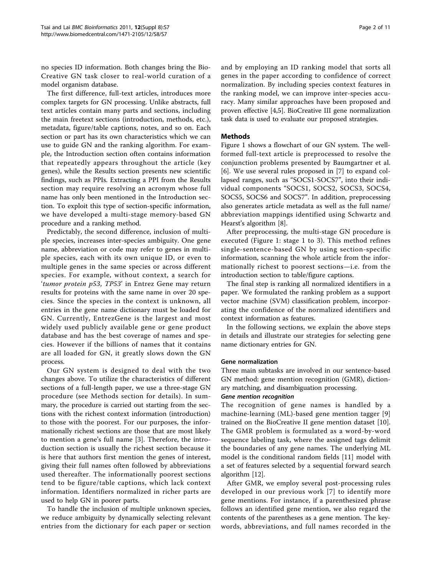no species ID information. Both changes bring the Bio-Creative GN task closer to real-world curation of a model organism database.

The first difference, full-text articles, introduces more complex targets for GN processing. Unlike abstracts, full text articles contain many parts and sections, including the main freetext sections (introduction, methods, etc.), metadata, figure/table captions, notes, and so on. Each section or part has its own characteristics which we can use to guide GN and the ranking algorithm. For example, the Introduction section often contains information that repeatedly appears throughout the article (key genes), while the Results section presents new scientific findings, such as PPIs. Extracting a PPI from the Results section may require resolving an acronym whose full name has only been mentioned in the Introduction section. To exploit this type of section-specific information, we have developed a multi-stage memory-based GN procedure and a ranking method.

Predictably, the second difference, inclusion of multiple species, increases inter-species ambiguity. One gene name, abbreviation or code may refer to genes in multiple species, each with its own unique ID, or even to multiple genes in the same species or across different species. For example, without context, a search for 'tumor protein p53, TP53' in Entrez Gene may return results for proteins with the same name in over 20 species. Since the species in the context is unknown, all entries in the gene name dictionary must be loaded for GN. Currently, EntrezGene is the largest and most widely used publicly available gene or gene product database and has the best coverage of names and species. However if the billions of names that it contains are all loaded for GN, it greatly slows down the GN process.

Our GN system is designed to deal with the two changes above. To utilize the characteristics of different sections of a full-length paper, we use a three-stage GN procedure (see Methods section for details). In summary, the procedure is carried out starting from the sections with the richest context information (introduction) to those with the poorest. For our purposes, the informationally richest sections are those that are most likely to mention a gene's full name [\[3](#page-9-0)]. Therefore, the introduction section is usually the richest section because it is here that authors first mention the genes of interest, giving their full names often followed by abbreviations used thereafter. The informationally poorest sections tend to be figure/table captions, which lack context information. Identifiers normalized in richer parts are used to help GN in poorer parts.

To handle the inclusion of multiple unknown species, we reduce ambiguity by dynamically selecting relevant entries from the dictionary for each paper or section and by employing an ID ranking model that sorts all genes in the paper according to confidence of correct normalization. By including species context features in the ranking model, we can improve inter-species accuracy. Many similar approaches have been proposed and proven effective [\[4,5\]](#page-9-0). BioCreative III gene normalization task data is used to evaluate our proposed strategies.

#### Methods

Figure [1](#page-2-0) shows a flowchart of our GN system. The wellformed full-text article is preprocessed to resolve the conjunction problems presented by Baumgartner et al. [[6\]](#page-9-0). We use several rules proposed in [[7\]](#page-10-0) to expand collapsed ranges, such as "SOCS1-SOCS7", into their individual components "SOCS1, SOCS2, SOCS3, SOCS4, SOCS5, SOCS6 and SOCS7". In addition, preprocessing also generates article metadata as well as the full name/ abbreviation mappings identified using Schwartz and Hearst's algorithm [\[8](#page-10-0)].

After preprocessing, the multi-stage GN procedure is executed (Figure [1](#page-2-0): stage 1 to 3). This method refines single-sentence-based GN by using section-specific information, scanning the whole article from the informationally richest to poorest sections—i.e. from the introduction section to table/figure captions.

The final step is ranking all normalized identifiers in a paper. We formulated the ranking problem as a support vector machine (SVM) classification problem, incorporating the confidence of the normalized identifiers and context information as features.

In the following sections, we explain the above steps in details and illustrate our strategies for selecting gene name dictionary entries for GN.

#### Gene normalization

Three main subtasks are involved in our sentence-based GN method: gene mention recognition (GMR), dictionary matching, and disambiguation processing.

#### Gene mention recognition

The recognition of gene names is handled by a machine-learning (ML)-based gene mention tagger [\[9](#page-10-0)] trained on the BioCreative II gene mention dataset [\[10](#page-10-0)]. The GMR problem is formulated as a word-by-word sequence labeling task, where the assigned tags delimit the boundaries of any gene names. The underlying ML model is the conditional random fields [[11\]](#page-10-0) model with a set of features selected by a sequential forward search algorithm [[12](#page-10-0)].

After GMR, we employ several post-processing rules developed in our previous work [[7](#page-10-0)] to identify more gene mentions. For instance, if a parenthesized phrase follows an identified gene mention, we also regard the contents of the parentheses as a gene mention. The keywords, abbreviations, and full names recorded in the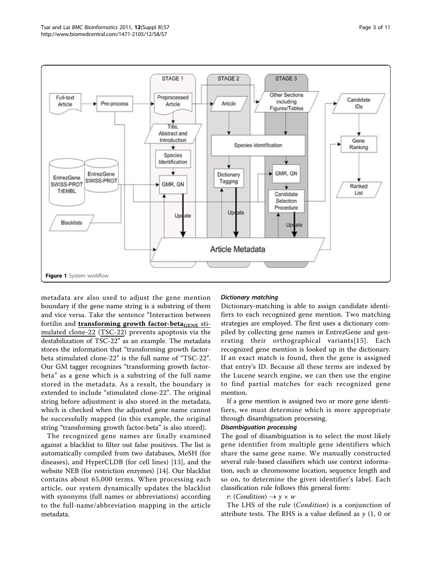<span id="page-2-0"></span>

metadata are also used to adjust the gene mention boundary if the gene name string is a substring of them and vice versa. Take the sentence "Interaction between fortilin and **transforming growth factor-beta** $G$ <sub>ENE</sub> stimulated clone-22 (TSC-22) prevents apoptosis via the destabilization of TSC-22" as an example. The metadata stores the information that "transforming growth factorbeta stimulated clone-22" is the full name of "TSC-22". Our GM tagger recognizes "transforming growth factorbeta" as a gene which is a substring of the full name stored in the metadata. As a result, the boundary is extended to include "stimulated clone-22". The original string before adjustment is also stored in the metadata, which is checked when the adjusted gene name cannot be successfully mapped (in this example, the original string "transforming growth factor-beta" is also stored).

The recognized gene names are finally examined against a blacklist to filter out false positives. The list is automatically compiled from two databases, MeSH (for diseases), and HyperCLDB (for cell lines) [\[13](#page-10-0)], and the website NEB (for restriction enzymes) [\[14\]](#page-10-0). Our blacklist contains about 65,000 terms. When processing each article, our system dynamically updates the blacklist with synonyms (full names or abbreviations) according to the full-name/abbreviation mapping in the article metadata.

#### Dictionary matching

Dictionary-matching is able to assign candidate identifiers to each recognized gene mention. Two matching strategies are employed. The first uses a dictionary compiled by collecting gene names in EntrezGene and generating their orthographical variants[[15\]](#page-10-0). Each recognized gene mention is looked up in the dictionary. If an exact match is found, then the gene is assigned that entry's ID. Because all these terms are indexed by the Lucene search engine, we can then use the engine to find partial matches for each recognized gene mention.

If a gene mention is assigned two or more gene identifiers, we must determine which is more appropriate through disambiguation processing.

#### Disambiguation processing

The goal of disambiguation is to select the most likely gene identifier from multiple gene identifiers which share the same gene name. We manually constructed several rule-based classifiers which use context information, such as chromosome location, sequence length and so on, to determine the given identifier's label. Each classification rule follows this general form:

#### r: (Condition)  $\rightarrow$  y  $\times$  w

The LHS of the rule (*Condition*) is a conjunction of attribute tests. The RHS is a value defined as  $y$  (1, 0 or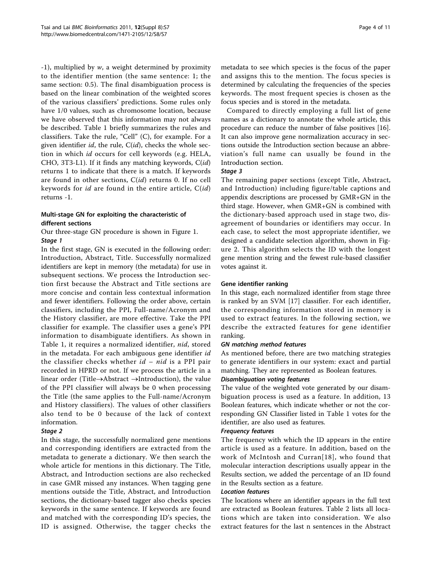$-1$ ), multiplied by  $w$ , a weight determined by proximity to the identifier mention (the same sentence: 1; the same section: 0.5). The final disambiguation process is based on the linear combination of the weighted scores of the various classifiers' predictions. Some rules only have 1/0 values, such as chromosome location, because we have observed that this information may not always be described. Table [1](#page-4-0) briefly summarizes the rules and classifiers. Take the rule, "Cell" (C), for example. For a given identifier  $id$ , the rule,  $C(id)$ , checks the whole section in which id occurs for cell keywords (e.g. HELA, CHO, 3T3-L1). If it finds any matching keywords, C(id) returns 1 to indicate that there is a match. If keywords are found in other sections,  $C(id)$  returns 0. If no cell keywords for  $id$  are found in the entire article,  $C(id)$ returns -1.

#### Multi-stage GN for exploiting the characteristic of different sections

Our three-stage GN procedure is shown in Figure [1.](#page-2-0) Stage 1

In the first stage, GN is executed in the following order: Introduction, Abstract, Title. Successfully normalized identifiers are kept in memory (the metadata) for use in subsequent sections. We process the Introduction section first because the Abstract and Title sections are more concise and contain less contextual information and fewer identifiers. Following the order above, certain classifiers, including the PPI, Full-name/Acronym and the History classifier, are more effective. Take the PPI classifier for example. The classifier uses a gene's PPI information to disambiguate identifiers. As shown in Table [1,](#page-4-0) it requires a normalized identifier, nid, stored in the metadata. For each ambiguous gene identifier id the classifier checks whether  $id - nid$  is a PPI pair recorded in HPRD or not. If we process the article in a linear order (Title $\rightarrow$ Abstract  $\rightarrow$ Introduction), the value of the PPI classifier will always be 0 when processing the Title (the same applies to the Full-name/Acronym and History classifiers). The values of other classifiers also tend to be 0 because of the lack of context information.

#### Stage 2

In this stage, the successfully normalized gene mentions and corresponding identifiers are extracted from the metadata to generate a dictionary. We then search the whole article for mentions in this dictionary. The Title, Abstract, and Introduction sections are also rechecked in case GMR missed any instances. When tagging gene mentions outside the Title, Abstract, and Introduction sections, the dictionary-based tagger also checks species keywords in the same sentence. If keywords are found and matched with the corresponding ID's species, the ID is assigned. Otherwise, the tagger checks the metadata to see which species is the focus of the paper and assigns this to the mention. The focus species is determined by calculating the frequencies of the species keywords. The most frequent species is chosen as the focus species and is stored in the metadata.

Compared to directly employing a full list of gene names as a dictionary to annotate the whole article, this procedure can reduce the number of false positives [\[16](#page-10-0)]. It can also improve gene normalization accuracy in sections outside the Introduction section because an abbreviation's full name can usually be found in the Introduction section.

#### Stage 3

The remaining paper sections (except Title, Abstract, and Introduction) including figure/table captions and appendix descriptions are processed by GMR+GN in the third stage. However, when GMR+GN is combined with the dictionary-based approach used in stage two, disagreement of boundaries or identifiers may occur. In each case, to select the most appropriate identifier, we designed a candidate selection algorithm, shown in Figure [2.](#page-5-0) This algorithm selects the ID with the longest gene mention string and the fewest rule-based classifier votes against it.

#### Gene identifier ranking

In this stage, each normalized identifier from stage three is ranked by an SVM [[17\]](#page-10-0) classifier. For each identifier, the corresponding information stored in memory is used to extract features. In the following section, we describe the extracted features for gene identifier ranking.

#### GN matching method features

As mentioned before, there are two matching strategies to generate identifiers in our system: exact and partial matching. They are represented as Boolean features.

#### Disambiguation voting features

The value of the weighted vote generated by our disambiguation process is used as a feature. In addition, 13 Boolean features, which indicate whether or not the corresponding GN Classifier listed in Table [1](#page-4-0) votes for the identifier, are also used as features.

#### Frequency features

The frequency with which the ID appears in the entire article is used as a feature. In addition, based on the work of McIntosh and Curran[[18](#page-10-0)], who found that molecular interaction descriptions usually appear in the Results section, we added the percentage of an ID found in the Results section as a feature.

#### Location features

The locations where an identifier appears in the full text are extracted as Boolean features. Table [2](#page-6-0) lists all locations which are taken into consideration. We also extract features for the last n sentences in the Abstract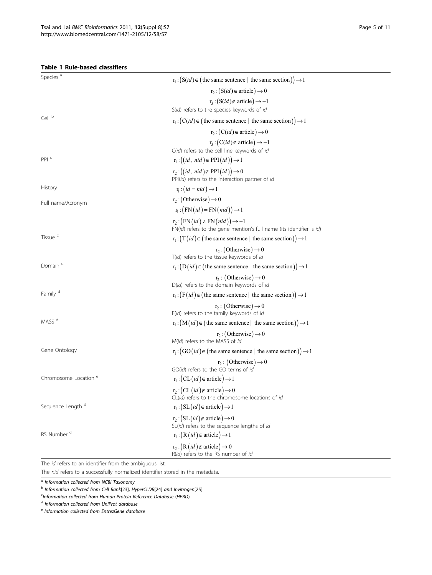<span id="page-4-0"></span>

| Species <sup>a</sup>             | $r_1$ : $(S(id) \in ($ the same sentence   the same section $)) \rightarrow 1$                                              |  |  |  |  |
|----------------------------------|-----------------------------------------------------------------------------------------------------------------------------|--|--|--|--|
|                                  | $r_2$ : $(S(id) \in \text{article}) \rightarrow 0$                                                                          |  |  |  |  |
|                                  | $r_3$ : $(S(id) \notin \text{article}) \rightarrow -1$                                                                      |  |  |  |  |
|                                  | S(id) refers to the species keywords of id                                                                                  |  |  |  |  |
| Cell <sup>b</sup>                | $r_1$ : $(C(id) \in (the same sentence \mid the same section)) \rightarrow 1$                                               |  |  |  |  |
|                                  | $r_2$ : $(C(id) \in$ article) $\rightarrow 0$                                                                               |  |  |  |  |
|                                  | $r_3: (C(id) \notin \text{article}) \rightarrow -1$<br>C(id) refers to the cell line keywords of id                         |  |  |  |  |
| PPI <sup>c</sup>                 | $r_1: ((id, nid) \in PPI(id)) \rightarrow 1$                                                                                |  |  |  |  |
|                                  | $r_2: ((id, nid) \notin PPI(id)) \rightarrow 0$<br>PPI(id) refers to the interaction partner of id                          |  |  |  |  |
| History                          | $r_1$ : $(id = nid) \rightarrow 1$                                                                                          |  |  |  |  |
| Full name/Acronym                | $r_2$ : (Otherwise) $\rightarrow$ 0                                                                                         |  |  |  |  |
|                                  | $r_1$ : $(FN(id) = FN(nid)) \rightarrow 1$                                                                                  |  |  |  |  |
|                                  | $r_2$ : $(FN(id) \neq FN(nid)) \rightarrow -1$<br>$FN(id)$ refers to the gene mention's full name (its identifier is $id$ ) |  |  |  |  |
| Tissue <sup>c</sup>              | $r_1$ : $(T(id) \in (the same sentence   the same section)) \rightarrow 1$                                                  |  |  |  |  |
|                                  | $r_2$ : (Otherwise) $\rightarrow$ 0<br>T(id) refers to the tissue keywords of id                                            |  |  |  |  |
| Domain <sup>d</sup>              | $r_1$ : $(D(id) \in (the same sentence \mid the same section)) \rightarrow 1$                                               |  |  |  |  |
|                                  | $r_2$ : (Otherwise) $\rightarrow$ 0<br>D(id) refers to the domain keywords of id                                            |  |  |  |  |
| Family <sup>d</sup>              | $r_1$ : $(F(id) \in (the same sentence \mid the same section)) \rightarrow 1$                                               |  |  |  |  |
|                                  | $r_2$ : (Otherwise) $\rightarrow$ 0<br>F(id) refers to the family keywords of id                                            |  |  |  |  |
| MASS <sup>d</sup>                | $r_1$ : $(M(id) \in (the same sentence   the same section)) \rightarrow 1$                                                  |  |  |  |  |
|                                  | $r_2$ : (Otherwise) $\rightarrow$ 0<br>M(id) refers to the MASS of id                                                       |  |  |  |  |
| Gene Ontology                    | $r_1$ : $(GO(id) \in ($ the same sentence   the same section $)) \rightarrow 1$                                             |  |  |  |  |
|                                  | $r_2$ : (Otherwise) $\rightarrow$ 0                                                                                         |  |  |  |  |
| Chromosome Location <sup>e</sup> | GO(id) refers to the GO terms of id<br>$r_1$ : $\bigl( CL \bigl(id \bigr) \in \text{article} \bigr) \rightarrow 1$          |  |  |  |  |
|                                  | $r_2$ : $\bigl( CL (id) \notin \text{article} \bigr) \rightarrow 0$                                                         |  |  |  |  |
|                                  | CL(id) refers to the chromosome locations of id                                                                             |  |  |  |  |
| Sequence Length <sup>d</sup>     | $r_1$ : $(SL(id) \in$ article) $\rightarrow$ 1                                                                              |  |  |  |  |
|                                  | $r_2$ : $(SL(id) \notin \text{article}) \rightarrow 0$<br>SL(id) refers to the sequence lengths of id                       |  |  |  |  |
| RS Number <sup>d</sup>           | $r_1$ : $(R(id) \in \text{article}) \rightarrow 1$                                                                          |  |  |  |  |
|                                  | $r_2: (R(id) \notin \text{article}) \to 0$<br>R(id) refers to the RS number of id                                           |  |  |  |  |

The *id* refers to an identifier from the ambiguous list.

The nid refers to a successfully normalized identifier stored in the metadata.

<sup>a</sup> Information collected from NCBI Taxonomy

 $<sup>b</sup>$  Information collected from Cell Bank[[23\]](#page-10-0), HyperCLDB[[24](#page-10-0)] and Invitrogen[\[25](#page-10-0)]</sup>

<sup>c</sup>Information collected from Human Protein Reference Database (HPRD)

 $<sup>d</sup>$  Information collected from UniProt database</sup>

 $e$  Information collected from EntrezGene database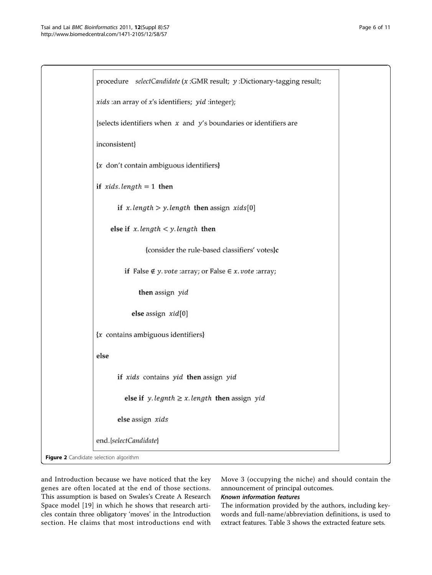<span id="page-5-0"></span>

and Introduction because we have noticed that the key genes are often located at the end of those sections. This assumption is based on Swales's Create A Research Space model [\[19](#page-10-0)] in which he shows that research articles contain three obligatory 'moves' in the Introduction section. He claims that most introductions end with

Move 3 (occupying the niche) and should contain the announcement of principal outcomes.

#### Known information features

The information provided by the authors, including keywords and full-name/abbreviation definitions, is used to extract features. Table [3](#page-6-0) shows the extracted feature sets.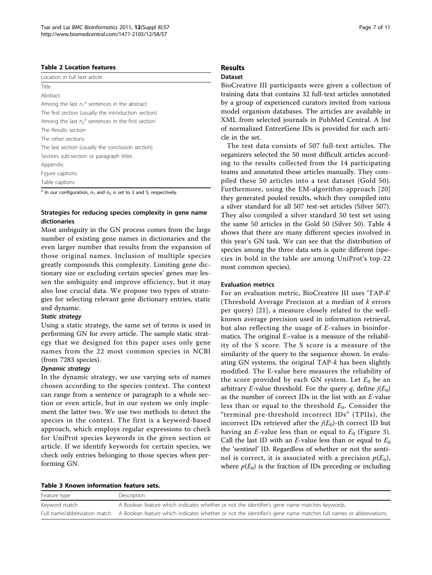#### <span id="page-6-0"></span>Table 2 Location features

| Location in full text article                                    |
|------------------------------------------------------------------|
| Title                                                            |
| Abstract                                                         |
| Among the last $n_1$ <sup>d</sup> sentences in the abstract      |
| The first section (usually the introduction section)             |
| Among the last $n_2$ <sup>a</sup> sentences in the first section |
| The Results section                                              |
| The other sections                                               |
| The last section (usually the conclusion section)                |
| Section, sub-section or paragraph titles                         |
| Appendix                                                         |
| Figure captions                                                  |
| Table captions                                                   |

 $a$  In our configuration,  $n_1$  and  $n_2$  is set to 3 and 5, respectively.

#### Strategies for reducing species complexity in gene name dictionaries

Most ambiguity in the GN process comes from the large number of existing gene names in dictionaries and the even larger number that results from the expansion of those original names. Inclusion of multiple species greatly compounds this complexity. Limiting gene dictionary size or excluding certain species' genes may lessen the ambiguity and improve efficiency, but it may also lose crucial data. We propose two types of strategies for selecting relevant gene dictionary entries, static and dynamic.

#### Static strategy

Using a static strategy, the same set of terms is used in performing GN for every article. The sample static strategy that we designed for this paper uses only gene names from the 22 most common species in NCBI (from 7283 species).

#### Dynamic strategy

In the dynamic strategy, we use varying sets of names chosen according to the species context. The context can range from a sentence or paragraph to a whole section or even article, but in our system we only implement the latter two. We use two methods to detect the species in the context. The first is a keyword-based approach, which employs regular expressions to check for UniProt species keywords in the given section or article. If we identify keywords for certain species, we check only entries belonging to those species when performing GN.

### Results

#### Dataset

BioCreative III participants were given a collection of training data that contains 32 full-text articles annotated by a group of experienced curators invited from various model organism databases. The articles are available in XML from selected journals in PubMed Central. A list of normalized EntrezGene IDs is provided for each article in the set.

The test data consists of 507 full-text articles. The organizers selected the 50 most difficult articles according to the results collected from the 14 participating teams and annotated these articles manually. They compiled these 50 articles into a test dataset (Gold 50). Furthermore, using the EM-algorithm-approach [[20](#page-10-0)] they generated pooled results, which they compiled into a silver standard for all 507 test-set articles (Silver 507). They also compiled a silver standard 50 test set using the same 50 articles in the Gold 50 (Silver 50). Table [4](#page-7-0) shows that there are many different species involved in this year's GN task. We can see that the distribution of species among the three data sets is quite different (species in bold in the table are among UniProt's top-22 most common species).

#### Evaluation metrics

For an evaluation metric, BioCreative III uses 'TAP-k' (Threshold Average Precision at a median of  $k$  errors per query) [[21\]](#page-10-0), a measure closely related to the wellknown average precision used in information retrieval, but also reflecting the usage of E-values in bioinformatics. The original E−value is a measure of the reliability of the S score. The S score is a measure of the similarity of the query to the sequence shown. In evaluating GN systems, the original TAP-k has been slightly modified. The E-value here measures the reliability of the score provided by each GN system. Let  $E_0$  be an arbitrary E-value threshold. For the query q, define  $i(E_0)$ as the number of correct IDs in the list with an E-value less than or equal to the threshold  $E_0$ . Consider the "terminal pre-threshold incorrect IDs" (TPIIs), the incorrect IDs retrieved after the  $j(E_0)$ -th correct ID but having an E-value less than or equal to  $E_0$  (Figure [3](#page-7-0)). Call the last ID with an  $E$ -value less than or equal to  $E_0$ the 'sentinel' ID. Regardless of whether or not the sentinel is correct, it is associated with a precision  $p(E_0)$ , where  $p(E_0)$  is the fraction of IDs preceding or including

#### Table 3 Known information feature sets.

| Feature type  | Description                                                                                                                                   |
|---------------|-----------------------------------------------------------------------------------------------------------------------------------------------|
| Keyword match | A Boolean feature which indicates whether or not the identifier's gene name matches keywords.                                                 |
|               | Full name/abbreviation match A Boolean feature which indicates whether or not the identifier's gene name matches full names or abbreviations. |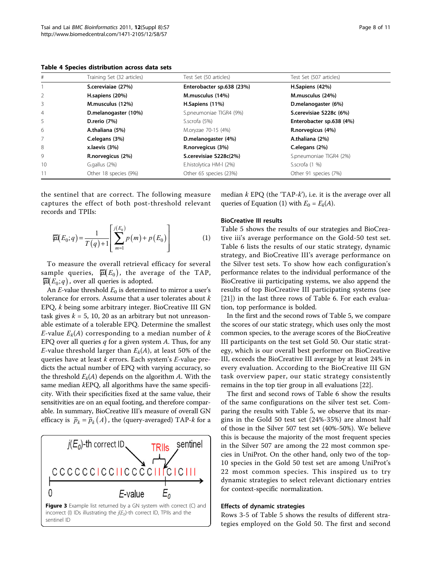| #              | Training Set (32 articles) | Test Set (50 articles)    | Test Set (507 articles)  |
|----------------|----------------------------|---------------------------|--------------------------|
|                | S.cereviaiae (27%)         | Enterobacter sp.638 (23%) | H.Sapiens (42%)          |
| 2              | H.sapiens (20%)            | M.musculus (14%)          | M.musculus (24%)         |
| 3              | M.musculus (12%)           | H.Sapiens (11%)           | D.melanogaster (6%)      |
| $\overline{4}$ | D.melanogaster (10%)       | S.pneumoniae TIGR4 (9%)   | S.cerevisiae S228c (6%)  |
| 5              | D.rerio (7%)               | S.scrofa (5%)             | Enterobacter sp.638 (4%) |
| 6              | A.thaliana (5%)            | M.oryzae 70-15 (4%)       | R.norvegicus (4%)        |
|                | C.elegans (3%)             | D.melanogaster (4%)       | A.thaliana (2%)          |
| 8              | x.laevis (3%)              | R.norvegicus (3%)         | C.elegans (2%)           |
| 9              | R.norvegicus (2%)          | S.cerevisiae S228c(2%)    | S.pneumoniae TIGR4 (2%)  |
| 10             | G.gallus (2%)              | E.histolytica HM-I (2%)   | S.scrofa (1 %)           |
| 11             | Other 18 species (9%)      | Other 65 species (23%)    | Other 91 species (7%)    |

<span id="page-7-0"></span>Table 4 Species distribution across data sets

the sentinel that are correct. The following measure captures the effect of both post-threshold relevant records and TPIIs:

$$
\overline{\mathbf{p}}(E_0; q) = \frac{1}{T(q) + 1} \left[ \sum_{m=1}^{j(E_0)} p(m) + p(E_0) \right]
$$
 (1)

To measure the overall retrieval efficacy for several sample queries,  $\overline{p}(E_0)$ , the average of the TAP,  $\overline{p}(E_0; q)$ , over all queries is adopted.

An *E*-value threshold  $E_0$  is determined to mirror a user's tolerance for errors. Assume that a user tolerates about  $k$ EPQ, k being some arbitrary integer. BioCreative III GN task gives  $k = 5$ , 10, 20 as an arbitrary but not unreasonable estimate of a tolerable EPQ. Determine the smallest E-value  $E_k(A)$  corresponding to a median number of k EPQ over all queries  $q$  for a given system  $A$ . Thus, for any *E*-value threshold larger than  $E_k(A)$ , at least 50% of the queries have at least  $k$  errors. Each system's  $E$ -value predicts the actual number of EPQ with varying accuracy, so the threshold  $E_k(A)$  depends on the algorithm A. With the same median kEPQ, all algorithms have the same specificity. With their specificities fixed at the same value, their sensitivities are on an equal footing, and therefore comparable. In summary, BioCreative III's measure of overall GN efficacy is  $\bar{p}_k = \bar{p}_k(A)$ , the (query-averaged) TAP-k for a



median  $k$  EPQ (the 'TAP- $k$ '), i.e. it is the average over all queries of Equation (1) with  $E_0 = E_k(A)$ .

#### BioCreative III results

Table [5](#page-8-0) shows the results of our strategies and BioCreative iii's average performance on the Gold-50 test set. Table [6](#page-8-0) lists the results of our static strategy, dynamic strategy, and BioCreative III's average performance on the Silver test sets. To show how each configuration's performance relates to the individual performance of the BioCreative iii participating systems, we also append the results of top BioCreative III participating systems (see [[21\]](#page-10-0)) in the last three rows of Table [6.](#page-8-0) For each evaluation, top performance is bolded.

In the first and the second rows of Table [5,](#page-8-0) we compare the scores of our static strategy, which uses only the most common species, to the average scores of the BioCreative III participants on the test set Gold 50. Our static strategy, which is our overall best performer on BioCreative III, exceeds the BioCreative III average by at least 24% in every evaluation. According to the BioCreative III GN task overview paper, our static strategy consistently remains in the top tier group in all evaluations [\[22](#page-10-0)].

The first and second rows of Table [6](#page-8-0) show the results of the same configurations on the silver test set. Comparing the results with Table [5](#page-8-0), we observe that its margins in the Gold 50 test set (24%-35%) are almost half of those in the Silver 507 test set (40%-50%). We believe this is because the majority of the most frequent species in the Silver 507 are among the 22 most common species in UniProt. On the other hand, only two of the top-10 species in the Gold 50 test set are among UniProt's 22 most common species. This inspired us to try dynamic strategies to select relevant dictionary entries for context-specific normalization.

#### Effects of dynamic strategies

Rows 3-5 of Table [5](#page-8-0) shows the results of different strategies employed on the Gold 50. The first and second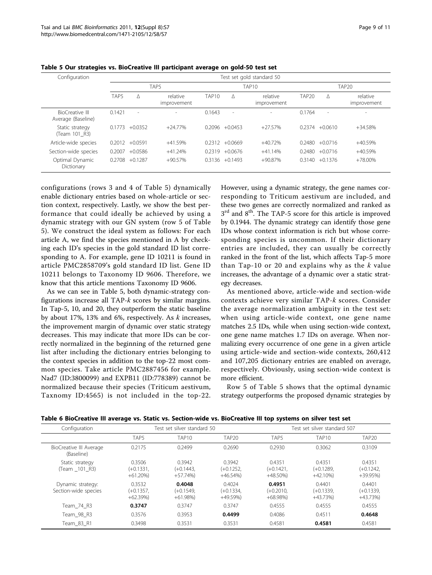| Configuration                         |                  |           |                          | Test set gold standard 50 |                          |                          |              |                          |                          |
|---------------------------------------|------------------|-----------|--------------------------|---------------------------|--------------------------|--------------------------|--------------|--------------------------|--------------------------|
|                                       | TAP5             |           | <b>TAP10</b>             |                           | <b>TAP20</b>             |                          |              |                          |                          |
|                                       | TAP <sub>5</sub> | Λ         | relative<br>improvement  | <b>TAP10</b>              | Λ                        | relative<br>improvement  | <b>TAP20</b> | Λ                        | relative<br>improvement  |
| BioCreative III<br>Average (Baseline) | 0.1421           | ٠         | $\overline{\phantom{a}}$ | 0.1643                    | $\overline{\phantom{a}}$ | $\overline{\phantom{a}}$ | 0.1764       | $\overline{\phantom{a}}$ | $\overline{\phantom{a}}$ |
| Static strategy<br>(Team 101 R3)      | 773<br>01        | $+0.0352$ | $+24.77%$                | 0.2096                    | $+0.0453$                | $+27.57%$                | 0.2374       | $+0.0610$                | +34.58%                  |
| Article-wide species                  | 0.2012           | $+0.0591$ | $+41.59%$                | 0.2312                    | $+0.0669$                | $+40.72%$                | 0.2480       | $+0.0716$                | +40.59%                  |
| Section-wide species                  | 0.2007           | $+0.0586$ | $+41.24%$                | 0.2319                    | $+0.0676$                | $+41.14%$                | 0.2480       | $+0.0716$                | +40.59%                  |
| Optimal Dynamic<br>Dictionary         | 0.2708           | $+0.1287$ | $+90.57%$                |                           | $0.3136 + 0.1493$        | +90.87%                  | 0.3140       | $+0.1376$                | $+78.00\%$               |

<span id="page-8-0"></span>Table 5 Our strategies vs. BioCreative III participant average on gold-50 test set

configurations (rows 3 and 4 of Table 5) dynamically enable dictionary entries based on whole-article or section context, respectively. Lastly, we show the best performance that could ideally be achieved by using a dynamic strategy with our GN system (row 5 of Table 5). We construct the ideal system as follows: For each article A, we find the species mentioned in A by checking each ID's species in the gold standard ID list corresponding to A. For example, gene ID 10211 is found in article PMC2858709's gold standard ID list. Gene ID 10211 belongs to Taxonomy ID 9606. Therefore, we know that this article mentions Taxonomy ID 9606.

As we can see in Table 5, both dynamic-strategy configurations increase all TAP-k scores by similar margins. In Tap-5, 10, and 20, they outperform the static baseline by about 17%, 13% and 6%, respectively. As  $k$  increases, the improvement margin of dynamic over static strategy decreases. This may indicate that more IDs can be correctly normalized in the beginning of the returned gene list after including the dictionary entries belonging to the context species in addition to the top-22 most common species. Take article PMC2887456 for example. Nad7 (ID:3800099) and EXPB11 (ID:778389) cannot be normalized because their species (Triticum aestivum, Taxnomy ID:4565) is not included in the top-22.

However, using a dynamic strategy, the gene names corresponding to Triticum aestivum are included, and these two genes are correctly normalized and ranked as  $3<sup>rd</sup>$  and  $8<sup>th</sup>$ . The TAP-5 score for this article is improved by 0.1944. The dynamic strategy can identify those gene IDs whose context information is rich but whose corresponding species is uncommon. If their dictionary entries are included, they can usually be correctly ranked in the front of the list, which affects Tap-5 more than Tap-10 or 20 and explains why as the  $k$  value increases, the advantage of a dynamic over a static strategy decreases.

As mentioned above, article-wide and section-wide contexts achieve very similar TAP-k scores. Consider the average normalization ambiguity in the test set: when using article-wide context, one gene name matches 2.5 IDs, while when using section-wide context, one gene name matches 1.7 IDs on average. When normalizing every occurrence of one gene in a given article using article-wide and section-wide contexts, 260,412 and 107,205 dictionary entries are enabled on average, respectively. Obviously, using section-wide context is more efficient.

Row 5 of Table 5 shows that the optimal dynamic strategy outperforms the proposed dynamic strategies by

| Table 6 BioCreative III average vs. Static vs. Section-wide vs. BioCreative III top systems on silver test set |
|----------------------------------------------------------------------------------------------------------------|
|                                                                                                                |

| Configuration                             | Test set silver standard 50      |                                      |                                    | Test set silver standard 507       |                                    |                                    |
|-------------------------------------------|----------------------------------|--------------------------------------|------------------------------------|------------------------------------|------------------------------------|------------------------------------|
|                                           | TAP5                             | TAP <sub>10</sub>                    | <b>TAP20</b>                       | TAP <sub>5</sub>                   | TAP <sub>10</sub>                  | <b>TAP20</b>                       |
| BioCreative III Average<br>(Baseline)     | 0.2175                           | 0.2499                               | 0.2690                             | 0.2930                             | 0.3062                             | 0.3109                             |
| Static strategy<br>(Team 101 R3)          | 0.3506<br>(+0.1331,<br>$+61.20%$ | 0.3942<br>$(+0.1443)$ .<br>$+57.74%$ | 0.3942<br>$(+0.1252,$<br>$+46.54%$ | 0.4351<br>$(+0.1421.$<br>$+48.50%$ | 0.4351<br>$(+0.1289,$<br>$+42.10%$ | 0.4351<br>$(+0.1242,$<br>$+39.95%$ |
| Dynamic strategy:<br>Section-wide species | 0.3532<br>(+0.1357.<br>$+62.39%$ | 0.4048<br>$(+0.1549.$<br>$+61.98\%$  | 0.4024<br>$(+0.1334)$<br>$+49.59%$ | 0.4951<br>$(+0.2010.$<br>$+68.98%$ | 04401<br>$(+0.1339.$<br>$+43.73%$  | 0.4401<br>$(+0.1339.$<br>$+43.73%$ |
| Team 74 R3                                | 0.3747                           | 0.3747                               | 0.3747                             | 0.4555                             | 0.4555                             | 0.4555                             |
| Team 98 R3                                | 0.3576                           | 0.3953                               | 0.4499                             | 0.4086                             | 0.4511                             | 0.4648                             |
| Team 83 R1                                | 0.3498                           | 0.3531                               | 0.3531                             | 0.4581                             | 0.4581                             | 0.4581                             |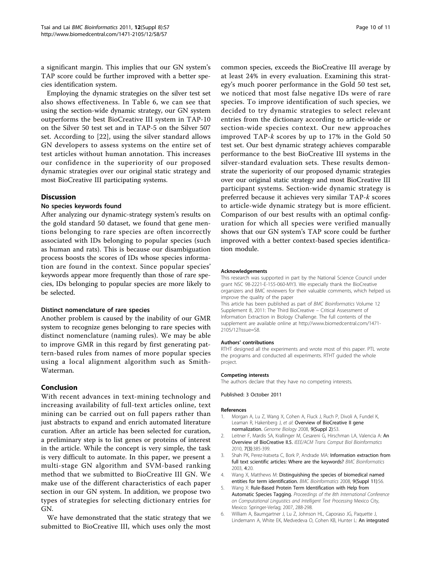<span id="page-9-0"></span>a significant margin. This implies that our GN system's TAP score could be further improved with a better species identification system.

Employing the dynamic strategies on the silver test set also shows effectiveness. In Table [6,](#page-8-0) we can see that using the section-wide dynamic strategy, our GN system outperforms the best BioCreative III system in TAP-10 on the Silver 50 test set and in TAP-5 on the Silver 507 set. According to [[22\]](#page-10-0), using the silver standard allows GN developers to assess systems on the entire set of test articles without human annotation. This increases our confidence in the superiority of our proposed dynamic strategies over our original static strategy and most BioCreative III participating systems.

#### **Discussion**

#### No species keywords found

After analyzing our dynamic-strategy system's results on the gold standard 50 dataset, we found that gene mentions belonging to rare species are often incorrectly associated with IDs belonging to popular species (such as human and rats). This is because our disambiguation process boosts the scores of IDs whose species information are found in the context. Since popular species' keywords appear more frequently than those of rare species, IDs belonging to popular species are more likely to be selected.

#### Distinct nomenclature of rare species

Another problem is caused by the inability of our GMR system to recognize genes belonging to rare species with distinct nomenclature (naming rules). We may be able to improve GMR in this regard by first generating pattern-based rules from names of more popular species using a local alignment algorithm such as Smith-Waterman.

#### Conclusion

With recent advances in text-mining technology and increasing availability of full-text articles online, text mining can be carried out on full papers rather than just abstracts to expand and enrich automated literature curation. After an article has been selected for curation, a preliminary step is to list genes or proteins of interest in the article. While the concept is very simple, the task is very difficult to automate. In this paper, we present a multi-stage GN algorithm and SVM-based ranking method that we submitted to BioCreative III GN. We make use of the different characteristics of each paper section in our GN system. In addition, we propose two types of strategies for selecting dictionary entries for GN.

We have demonstrated that the static strategy that we submitted to BioCreative III, which uses only the most

common species, exceeds the BioCreative III average by at least 24% in every evaluation. Examining this strategy's much poorer performance in the Gold 50 test set, we noticed that most false negative IDs were of rare species. To improve identification of such species, we decided to try dynamic strategies to select relevant entries from the dictionary according to article-wide or section-wide species context. Our new approaches improved TAP- $k$  scores by up to 17% in the Gold 50 test set. Our best dynamic strategy achieves comparable performance to the best BioCreative III systems in the silver-standard evaluation sets. These results demonstrate the superiority of our proposed dynamic strategies over our original static strategy and most BioCreative III participant systems. Section-wide dynamic strategy is preferred because it achieves very similar TAP-k scores to article-wide dynamic strategy but is more efficient. Comparison of our best results with an optimal configuration for which all species were verified manually shows that our GN system's TAP score could be further improved with a better context-based species identification module.

#### Acknowledgements

This research was supported in part by the National Science Council under grant NSC 98-2221-E-155-060-MY3. We especially thank the BioCreative organizers and BMC reviewers for their valuable comments, which helped us improve the quality of the paper

This article has been published as part of BMC Bioinformatics Volume 12 Supplement 8, 2011: The Third BioCreative – Critical Assessment of Information Extraction in Biology Challenge. The full contents of the supplement are available online at [http://www.biomedcentral.com/1471-](http://www.biomedcentral.com/1471-2105/12?issue=S8) [2105/12?issue=S8.](http://www.biomedcentral.com/1471-2105/12?issue=S8)

#### Authors' contributions

RTHT designed all the experiments and wrote most of this paper. PTL wrote the programs and conducted all experiments. RTHT guided the whole project.

#### Competing interests

The authors declare that they have no competing interests.

Published: 3 October 2011

#### References

- 1. Morgan A, Lu Z, Wang X, Cohen A, Fluck J, Ruch P, Divoli A, Fundel K, Leaman R, Hakenberg J, et al: [Overview of BioCreative II gene](http://www.ncbi.nlm.nih.gov/pubmed/18834494?dopt=Abstract) [normalization.](http://www.ncbi.nlm.nih.gov/pubmed/18834494?dopt=Abstract) Genome Biology 2008, 9(Suppl 2):S3.
- 2. Leitner F. Mardis SA, Krallinger M, Cesareni G, Hirschman LA, Valencia A: An Overview of BioCreative II.5. IEEE/ACM Trans Comput Biol Bioinformatics 2010, 7(3):385-399.
- 3. Shah PK, Perez-Iratxeta C, Bork P, Andrade MA: [Information extraction from](http://www.ncbi.nlm.nih.gov/pubmed/12775220?dopt=Abstract) [full text scientific articles: Where are the keywords?](http://www.ncbi.nlm.nih.gov/pubmed/12775220?dopt=Abstract) BMC Bioinformatics 2003, 4:20.
- 4. Wang X, Matthews M: [Distinguishing the species of biomedical named](http://www.ncbi.nlm.nih.gov/pubmed/19091029?dopt=Abstract) [entities for term identification.](http://www.ncbi.nlm.nih.gov/pubmed/19091029?dopt=Abstract) BMC Bioinformatics 2008, 9(Suppl 11):S6.
- 5. Wang X: Rule-Based Protein Term Identification with Help from Automatic Species Tagging. Proceedings of the 8th International Conference on Computational Linguistics and Intelligent Text Processing Mexico City, Mexico: Springer-Verlag; 2007, 288-298.
- 6. William A, Baumgartner J, Lu Z, Johnson HL, Caporaso JG, Paquette J, Lindemann A, White EK, Medvedeva O, Cohen KB, Hunter L: An integrated